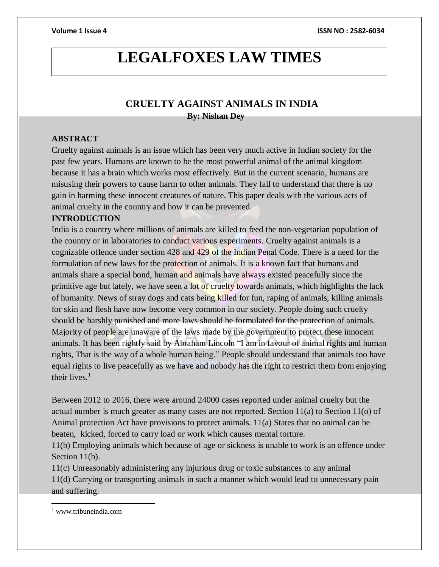# **LEGALFOXES LAW TIMES**

# **CRUELTY AGAINST ANIMALS IN INDIA**

 **By: Nishan Dey**

# **ABSTRACT**

Cruelty against animals is an issue which has been very much active in Indian society for the past few years. Humans are known to be the most powerful animal of the animal kingdom because it has a brain which works most effectively. But in the current scenario, humans are misusing their powers to cause harm to other animals. They fail to understand that there is no gain in harming these innocent creatures of nature. This paper deals with the various acts of animal cruelty in the country and how it can be prevented.

# **INTRODUCTION**

India is a country where millions of animals are killed to feed the non-vegetarian population of the country or in laboratories to conduct various experiments. Cruelty against animals is a cognizable offence under section 428 and 429 of the Indian Penal Code. There is a need for the formulation of new laws for the protection of animals. It is a known fact that humans and animals share a special bond, human and animals have always existed peacefully since the primitive age but lately, we have seen a lot of cruelty towards animals, which highlights the lack of humanity. News of stray dogs and cats being killed for fun, raping of animals, killing animals for skin and flesh have now become very common in our society. People doing such cruelty should be harshly punished and more laws should be formulated for the protection of animals. Majority of people are unaware of the laws made by the government to protect these innocent animals. It has been rightly said by Abraham Lincoln "I am in favour of animal rights and human rights, That is the way of a whole human being." People should understand that animals too have equal rights to live peacefully as we have and nobody has the right to restrict them from enjoying their lives. $<sup>1</sup>$ </sup>

Between 2012 to 2016, there were around 24000 cases reported under animal cruelty but the actual number is much greater as many cases are not reported. Section  $11(a)$  to Section  $11(o)$  of Animal protection Act have provisions to protect animals. 11(a) States that no animal can be beaten, kicked, forced to carry load or work which causes mental torture.

11(b) Employing animals which because of age or sickness is unable to work is an offence under Section 11(b).

11(c) Unreasonably administering any injurious drug or toxic substances to any animal 11(d) Carrying or transporting animals in such a manner which would lead to unnecessary pain and suffering.

 $\overline{a}$ 

<sup>1</sup> www.tribuneindia.com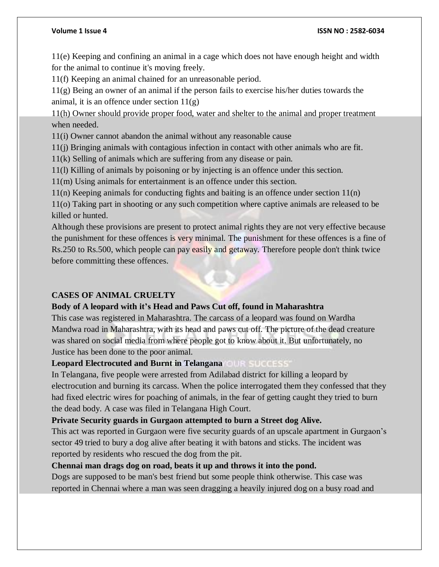#### **Volume 1 Issue 4 ISSN NO : 2582-6034**

11(e) Keeping and confining an animal in a cage which does not have enough height and width for the animal to continue it's moving freely.

11(f) Keeping an animal chained for an unreasonable period.

11(g) Being an owner of an animal if the person fails to exercise his/her duties towards the animal, it is an offence under section  $11(g)$ 

11(h) Owner should provide proper food, water and shelter to the animal and proper treatment when needed.

11(i) Owner cannot abandon the animal without any reasonable cause

11(j) Bringing animals with contagious infection in contact with other animals who are fit.

11(k) Selling of animals which are suffering from any disease or pain.

11(l) Killing of animals by poisoning or by injecting is an offence under this section.

11(m) Using animals for entertainment is an offence under this section.

11(n) Keeping animals for conducting fights and baiting is an offence under section 11(n)

11(o) Taking part in shooting or any such competition where captive animals are released to be killed or hunted.

Although these provisions are present to protect animal rights they are not very effective because the punishment for these offences is very minimal. The punishment for these offences is a fine of Rs.250 to Rs.500, which people can pay easily and getaway. Therefore people don't think twice before committing these offences.

# **CASES OF ANIMAL CRUELTY**

# **Body of A leopard with it's Head and Paws Cut off, found in Maharashtra**

This case was registered in Maharashtra. The carcass of a leopard was found on Wardha Mandwa road in Maharashtra, with its head and paws cut off. The picture of the dead creature was shared on social media from where people got to know about it. But unfortunately, no Justice has been done to the poor animal.

# **Leopard Electrocuted and Burnt in Telangana**

In Telangana, five people were arrested from Adilabad district for killing a leopard by electrocution and burning its carcass. When the police interrogated them they confessed that they had fixed electric wires for poaching of animals, in the fear of getting caught they tried to burn the dead body. A case was filed in Telangana High Court.

# **Private Security guards in Gurgaon attempted to burn a Street dog Alive.**

This act was reported in Gurgaon were five security guards of an upscale apartment in Gurgaon's sector 49 tried to bury a dog alive after beating it with batons and sticks. The incident was reported by residents who rescued the dog from the pit.

# **Chennai man drags dog on road, beats it up and throws it into the pond.**

Dogs are supposed to be man's best friend but some people think otherwise. This case was reported in Chennai where a man was seen dragging a heavily injured dog on a busy road and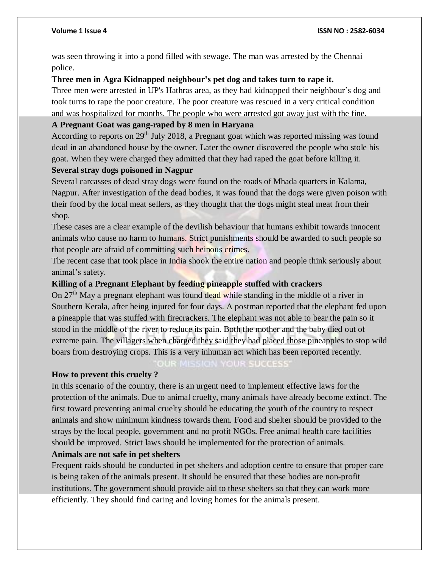was seen throwing it into a pond filled with sewage. The man was arrested by the Chennai police.

# **Three men in Agra Kidnapped neighbour's pet dog and takes turn to rape it.**

Three men were arrested in UP's Hathras area, as they had kidnapped their neighbour's dog and took turns to rape the poor creature. The poor creature was rescued in a very critical condition and was hospitalized for months. The people who were arrested got away just with the fine.

# **A Pregnant Goat was gang-raped by 8 men in Haryana**

According to reports on 29<sup>th</sup> July 2018, a Pregnant goat which was reported missing was found dead in an abandoned house by the owner. Later the owner discovered the people who stole his goat. When they were charged they admitted that they had raped the goat before killing it.

# **Several stray dogs poisoned in Nagpur**

Several carcasses of dead stray dogs were found on the roads of Mhada quarters in Kalama, Nagpur. After investigation of the dead bodies, it was found that the dogs were given poison with their food by the local meat sellers, as they thought that the dogs might steal meat from their shop.

These cases are a clear example of the devilish behaviour that humans exhibit towards innocent animals who cause no harm to humans. Strict punishments should be awarded to such people so that people are afraid of committing such heinous crimes.

The recent case that took place in India shook the entire nation and people think seriously about animal's safety.

# **Killing of a Pregnant Elephant by feeding pineapple stuffed with crackers**

On 27<sup>th</sup> May a pregnant elephant was found dead while standing in the middle of a river in Southern Kerala, after being injured for four days. A postman reported that the elephant fed upon a pineapple that was stuffed with firecrackers. The elephant was not able to bear the pain so it stood in the middle of the river to reduce its pain. Both the mother and the baby died out of extreme pain. The villagers when charged they said they had placed those pineapples to stop wild boars from destroying crops. This is a very inhuman act which has been reported recently.

#### OUR MISSION YOUR SUCCESS'

# **How to prevent this cruelty ?**

In this scenario of the country, there is an urgent need to implement effective laws for the protection of the animals. Due to animal cruelty, many animals have already become extinct. The first toward preventing animal cruelty should be educating the youth of the country to respect animals and show minimum kindness towards them. Food and shelter should be provided to the strays by the local people, government and no profit NGOs. Free animal health care facilities should be improved. Strict laws should be implemented for the protection of animals.

# **Animals are not safe in pet shelters**

Frequent raids should be conducted in pet shelters and adoption centre to ensure that proper care is being taken of the animals present. It should be ensured that these bodies are non-profit institutions. The government should provide aid to these shelters so that they can work more efficiently. They should find caring and loving homes for the animals present.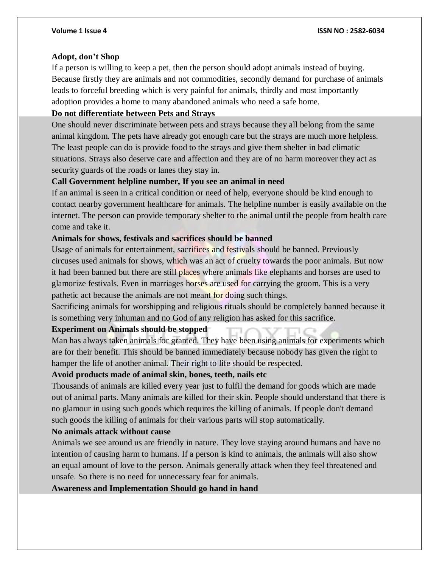#### **Adopt, don't Shop**

If a person is willing to keep a pet, then the person should adopt animals instead of buying. Because firstly they are animals and not commodities, secondly demand for purchase of animals leads to forceful breeding which is very painful for animals, thirdly and most importantly adoption provides a home to many abandoned animals who need a safe home.

#### **Do not differentiate between Pets and Strays**

One should never discriminate between pets and strays because they all belong from the same animal kingdom. The pets have already got enough care but the strays are much more helpless. The least people can do is provide food to the strays and give them shelter in bad climatic situations. Strays also deserve care and affection and they are of no harm moreover they act as security guards of the roads or lanes they stay in.

# **Call Government helpline number, If you see an animal in need**

If an animal is seen in a critical condition or need of help, everyone should be kind enough to contact nearby government healthcare for animals. The helpline number is easily available on the internet. The person can provide temporary shelter to the animal until the people from health care come and take it.

# **Animals for shows, festivals and sacrifices should be banned**

Usage of animals for entertainment, sacrifices and festivals should be banned. Previously circuses used animals for shows, which was an act of cruelty towards the poor animals. But now it had been banned but there are still places where animals like elephants and horses are used to glamorize festivals. Even in marriages horses are used for carrying the groom. This is a very pathetic act because the animals are not meant for doing such things.

Sacrificing animals for worshipping and religious rituals should be completely banned because it is something very inhuman and no God of any religion has asked for this sacrifice.

# **Experiment on Animals should be stopped**

Man has always taken animals for granted. They have been using animals for experiments which are for their benefit. This should be banned immediately because nobody has given the right to hamper the life of another animal. Their right to life should be respected.

#### **Avoid products made of animal skin, bones, teeth, nails etc**

Thousands of animals are killed every year just to fulfil the demand for goods which are made out of animal parts. Many animals are killed for their skin. People should understand that there is no glamour in using such goods which requires the killing of animals. If people don't demand such goods the killing of animals for their various parts will stop automatically.

#### **No animals attack without cause**

Animals we see around us are friendly in nature. They love staying around humans and have no intention of causing harm to humans. If a person is kind to animals, the animals will also show an equal amount of love to the person. Animals generally attack when they feel threatened and unsafe. So there is no need for unnecessary fear for animals.

**Awareness and Implementation Should go hand in hand**